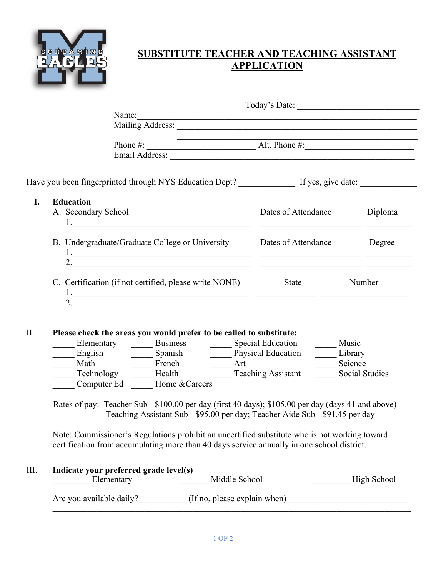

## **APPLICATION**

|                                                                                                                      |                                                                                                                                                   | Name: Name: Name: Name: Name: Name: Name: Name: Name: Name: Name: Name: Name: Name: Name: Name: Name: Name: Name: Name: Name: Name: Name: Name: Name: Name: Name: Name: Name: Name: Name: Name: Name: Name: Name: Name: Name: |  |                                                                                                                                                                                    |                             |                |  |
|----------------------------------------------------------------------------------------------------------------------|---------------------------------------------------------------------------------------------------------------------------------------------------|-------------------------------------------------------------------------------------------------------------------------------------------------------------------------------------------------------------------------------|--|------------------------------------------------------------------------------------------------------------------------------------------------------------------------------------|-----------------------------|----------------|--|
|                                                                                                                      |                                                                                                                                                   |                                                                                                                                                                                                                               |  |                                                                                                                                                                                    |                             |                |  |
|                                                                                                                      |                                                                                                                                                   |                                                                                                                                                                                                                               |  |                                                                                                                                                                                    |                             |                |  |
|                                                                                                                      |                                                                                                                                                   |                                                                                                                                                                                                                               |  |                                                                                                                                                                                    |                             |                |  |
|                                                                                                                      |                                                                                                                                                   |                                                                                                                                                                                                                               |  |                                                                                                                                                                                    |                             |                |  |
| Have you been fingerprinted through NYS Education Dept? _________________________ If yes, give date: _______________ |                                                                                                                                                   |                                                                                                                                                                                                                               |  |                                                                                                                                                                                    |                             |                |  |
| <b>Education</b>                                                                                                     |                                                                                                                                                   |                                                                                                                                                                                                                               |  |                                                                                                                                                                                    |                             |                |  |
|                                                                                                                      | A. Secondary School                                                                                                                               |                                                                                                                                                                                                                               |  |                                                                                                                                                                                    | Dates of Attendance Diploma |                |  |
|                                                                                                                      |                                                                                                                                                   |                                                                                                                                                                                                                               |  |                                                                                                                                                                                    |                             |                |  |
| B. Undergraduate/Graduate College or University Dates of Attendance Degree                                           |                                                                                                                                                   |                                                                                                                                                                                                                               |  |                                                                                                                                                                                    |                             |                |  |
|                                                                                                                      |                                                                                                                                                   |                                                                                                                                                                                                                               |  |                                                                                                                                                                                    |                             |                |  |
|                                                                                                                      |                                                                                                                                                   |                                                                                                                                                                                                                               |  |                                                                                                                                                                                    |                             |                |  |
|                                                                                                                      |                                                                                                                                                   |                                                                                                                                                                                                                               |  | C. Certification (if not certified, please write NONE) State Number                                                                                                                |                             |                |  |
|                                                                                                                      |                                                                                                                                                   |                                                                                                                                                                                                                               |  |                                                                                                                                                                                    |                             |                |  |
|                                                                                                                      |                                                                                                                                                   |                                                                                                                                                                                                                               |  |                                                                                                                                                                                    |                             |                |  |
|                                                                                                                      |                                                                                                                                                   |                                                                                                                                                                                                                               |  |                                                                                                                                                                                    |                             |                |  |
|                                                                                                                      |                                                                                                                                                   | Please check the areas you would prefer to be called to substitute:                                                                                                                                                           |  |                                                                                                                                                                                    |                             |                |  |
|                                                                                                                      | Elementary Business Special Education                                                                                                             |                                                                                                                                                                                                                               |  |                                                                                                                                                                                    | Music                       |                |  |
|                                                                                                                      | English Spanish Physical Education Library<br>Math Technology Health Teaching Assistant Social S<br>Technology Health Teaching Assistant Social S |                                                                                                                                                                                                                               |  |                                                                                                                                                                                    |                             |                |  |
|                                                                                                                      |                                                                                                                                                   |                                                                                                                                                                                                                               |  |                                                                                                                                                                                    |                             | Social Studies |  |
|                                                                                                                      |                                                                                                                                                   | Computer Ed Home & Careers                                                                                                                                                                                                    |  |                                                                                                                                                                                    |                             |                |  |
|                                                                                                                      |                                                                                                                                                   |                                                                                                                                                                                                                               |  |                                                                                                                                                                                    |                             |                |  |
|                                                                                                                      |                                                                                                                                                   |                                                                                                                                                                                                                               |  | Rates of pay: Teacher Sub - \$100.00 per day (first 40 days); \$105.00 per day (days 41 and above)<br>Teaching Assistant Sub - \$95.00 per day; Teacher Aide Sub - \$91.45 per day |                             |                |  |
|                                                                                                                      |                                                                                                                                                   |                                                                                                                                                                                                                               |  |                                                                                                                                                                                    |                             |                |  |
|                                                                                                                      |                                                                                                                                                   |                                                                                                                                                                                                                               |  | Note: Commissioner's Regulations prohibit an uncertified substitute who is not working toward                                                                                      |                             |                |  |
|                                                                                                                      |                                                                                                                                                   |                                                                                                                                                                                                                               |  | certification from accumulating more than 40 days service annually in one school district.                                                                                         |                             |                |  |
|                                                                                                                      |                                                                                                                                                   |                                                                                                                                                                                                                               |  |                                                                                                                                                                                    |                             |                |  |
|                                                                                                                      |                                                                                                                                                   | Indicate your preferred grade level(s)                                                                                                                                                                                        |  |                                                                                                                                                                                    |                             |                |  |